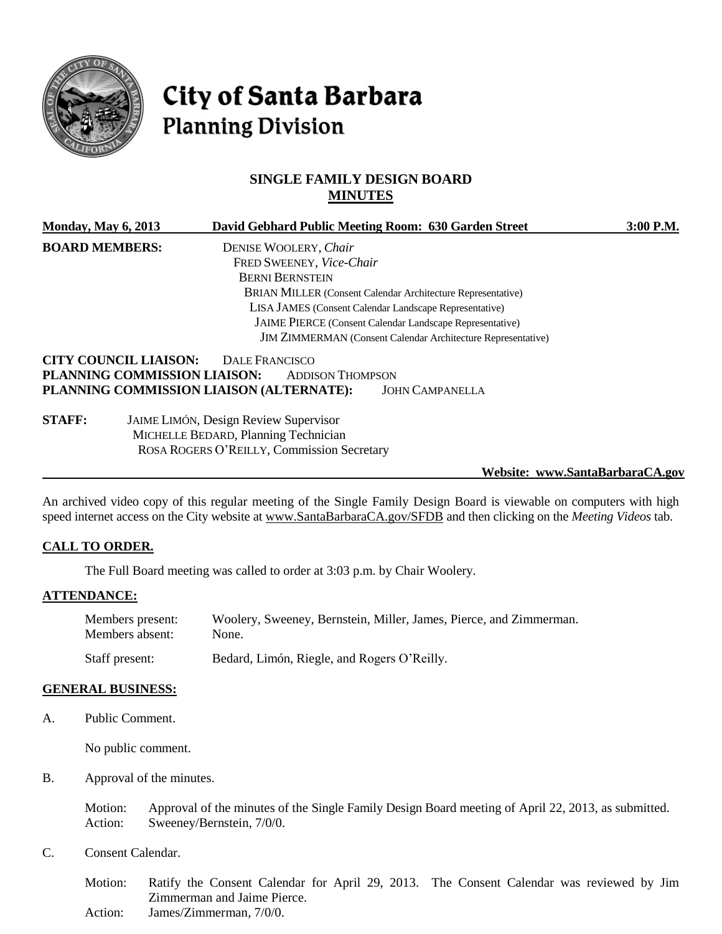

# City of Santa Barbara **Planning Division**

# **SINGLE FAMILY DESIGN BOARD MINUTES**

| <b>Monday, May 6, 2013</b> |                              |                                          | David Gebhard Public Meeting Room: 630 Garden Street                | 3:00 P.M. |
|----------------------------|------------------------------|------------------------------------------|---------------------------------------------------------------------|-----------|
| <b>BOARD MEMBERS:</b>      |                              | DENISE WOOLERY, Chair                    |                                                                     |           |
|                            |                              | FRED SWEENEY, Vice-Chair                 |                                                                     |           |
|                            |                              | <b>BERNI BERNSTEIN</b>                   |                                                                     |           |
|                            |                              |                                          | <b>BRIAN MILLER</b> (Consent Calendar Architecture Representative)  |           |
|                            |                              |                                          | LISA JAMES (Consent Calendar Landscape Representative)              |           |
|                            |                              |                                          | <b>JAIME PIERCE</b> (Consent Calendar Landscape Representative)     |           |
|                            |                              |                                          | <b>JIM ZIMMERMAN</b> (Consent Calendar Architecture Representative) |           |
|                            | <b>CITY COUNCIL LIAISON:</b> | DALE FRANCISCO                           |                                                                     |           |
|                            | PLANNING COMMISSION LIAISON: | <b>ADDISON THOMPSON</b>                  |                                                                     |           |
|                            |                              | PLANNING COMMISSION LIAISON (ALTERNATE): | <b>JOHN CAMPANELLA</b>                                              |           |
| <b>STAFF:</b>              |                              | JAIME LIMÓN, Design Review Supervisor    |                                                                     |           |

MICHELLE BEDARD, Planning Technician ROSA ROGERS O'REILLY, Commission Secretary

**Website: www.SantaBarbaraCA.gov**

An archived video copy of this regular meeting of the Single Family Design Board is viewable on computers with high speed internet access on the City website at [www.SantaBarbaraCA.gov/SFDB](http://www.santabarbaraca.gov/SFDB) and then clicking on the *Meeting Videos* tab.

#### **CALL TO ORDER.**

The Full Board meeting was called to order at 3:03 p.m. by Chair Woolery.

#### **ATTENDANCE:**

| Members present: | Woolery, Sweeney, Bernstein, Miller, James, Pierce, and Zimmerman. |
|------------------|--------------------------------------------------------------------|
| Members absent:  | None.                                                              |
| Staff present:   | Bedard, Limón, Riegle, and Rogers O'Reilly.                        |

#### **GENERAL BUSINESS:**

A. Public Comment.

No public comment.

B. Approval of the minutes.

Motion: Approval of the minutes of the Single Family Design Board meeting of April 22, 2013, as submitted. Action: Sweeney/Bernstein, 7/0/0.

C. Consent Calendar.

Motion: Ratify the Consent Calendar for April 29, 2013. The Consent Calendar was reviewed by Jim Zimmerman and Jaime Pierce. Action: James/Zimmerman, 7/0/0.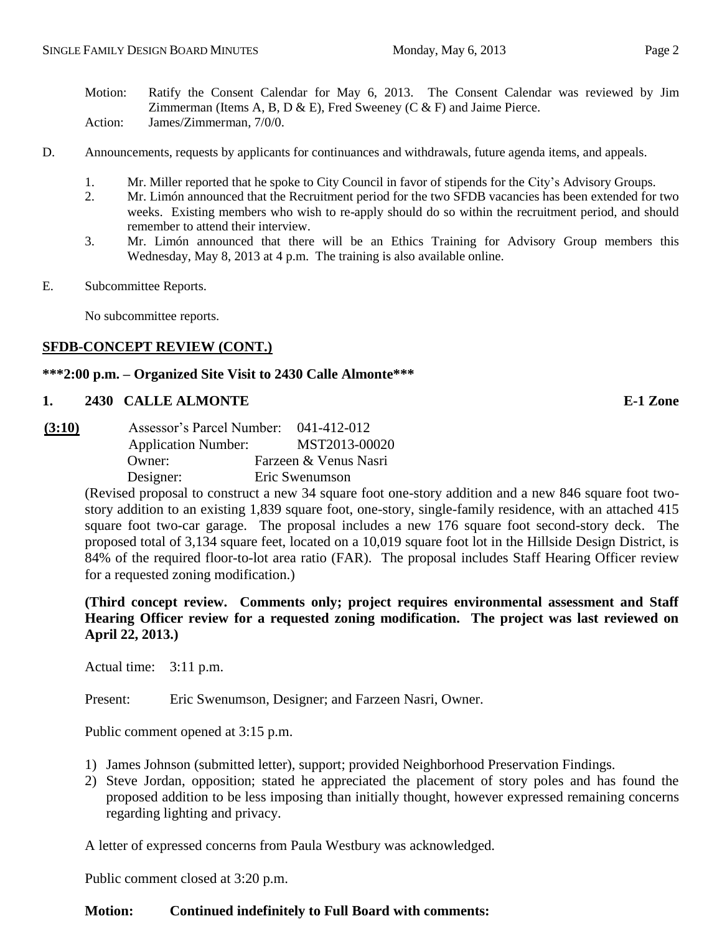Motion: Ratify the Consent Calendar for May 6, 2013. The Consent Calendar was reviewed by Jim Zimmerman (Items A, B, D  $\&$  E), Fred Sweeney (C  $\&$  F) and Jaime Pierce. Action: James/Zimmerman, 7/0/0.

- D. Announcements, requests by applicants for continuances and withdrawals, future agenda items, and appeals.
	- 1. Mr. Miller reported that he spoke to City Council in favor of stipends for the City's Advisory Groups.
	- 2. Mr. Limón announced that the Recruitment period for the two SFDB vacancies has been extended for two weeks. Existing members who wish to re-apply should do so within the recruitment period, and should remember to attend their interview.
	- 3. Mr. Limón announced that there will be an Ethics Training for Advisory Group members this Wednesday, May 8, 2013 at 4 p.m. The training is also available online.
- E. Subcommittee Reports.

No subcommittee reports.

### **SFDB-CONCEPT REVIEW (CONT.)**

## **\*\*\*2:00 p.m. – Organized Site Visit to 2430 Calle Almonte\*\*\***

#### **1. 2430 CALLE ALMONTE E-1 Zone**

**(3:10)** Assessor's Parcel Number: 041-412-012 Application Number: MST2013-00020 Owner: Farzeen & Venus Nasri Designer: Eric Swenumson

> (Revised proposal to construct a new 34 square foot one-story addition and a new 846 square foot twostory addition to an existing 1,839 square foot, one-story, single-family residence, with an attached 415 square foot two-car garage. The proposal includes a new 176 square foot second-story deck. The proposed total of 3,134 square feet, located on a 10,019 square foot lot in the Hillside Design District, is 84% of the required floor-to-lot area ratio (FAR). The proposal includes Staff Hearing Officer review for a requested zoning modification.)

> **(Third concept review. Comments only; project requires environmental assessment and Staff Hearing Officer review for a requested zoning modification. The project was last reviewed on April 22, 2013.)**

Actual time: 3:11 p.m.

Present: Eric Swenumson, Designer; and Farzeen Nasri, Owner.

Public comment opened at 3:15 p.m.

- 1) James Johnson (submitted letter), support; provided Neighborhood Preservation Findings.
- 2) Steve Jordan, opposition; stated he appreciated the placement of story poles and has found the proposed addition to be less imposing than initially thought, however expressed remaining concerns regarding lighting and privacy.

A letter of expressed concerns from Paula Westbury was acknowledged.

Public comment closed at 3:20 p.m.

### **Motion: Continued indefinitely to Full Board with comments:**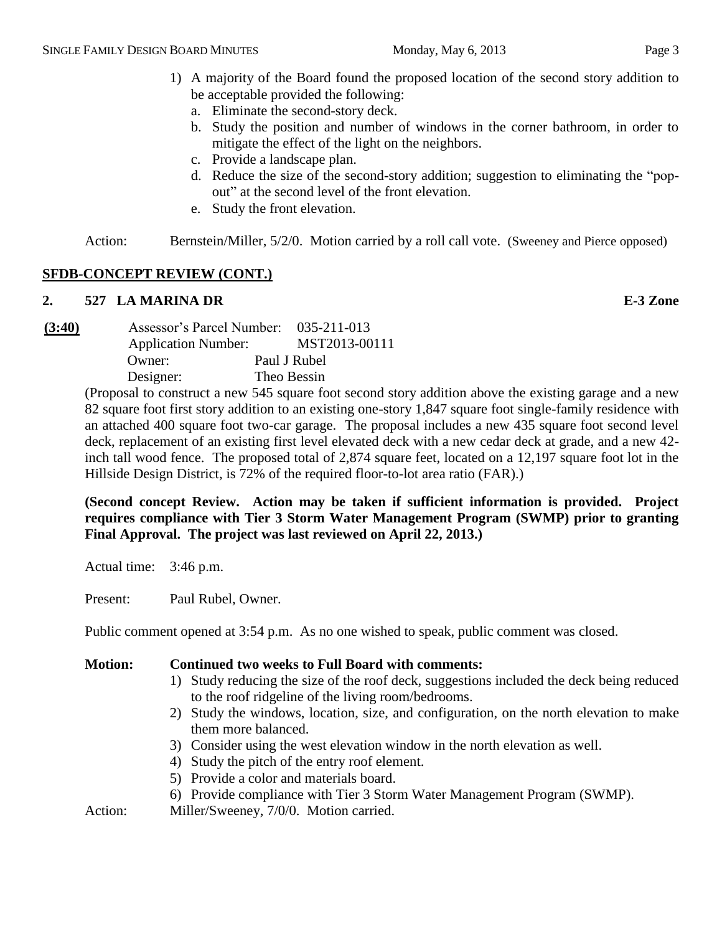- 1) A majority of the Board found the proposed location of the second story addition to be acceptable provided the following:
	- a. Eliminate the second-story deck.
	- b. Study the position and number of windows in the corner bathroom, in order to mitigate the effect of the light on the neighbors.
	- c. Provide a landscape plan.
	- d. Reduce the size of the second-story addition; suggestion to eliminating the "popout" at the second level of the front elevation.
	- e. Study the front elevation.

Action: Bernstein/Miller, 5/2/0. Motion carried by a roll call vote. (Sweeney and Pierce opposed)

# **SFDB-CONCEPT REVIEW (CONT.)**

# **2. 527 LA MARINA DR E-3 Zone**

**(3:40)** Assessor's Parcel Number: 035-211-013 Application Number: MST2013-00111 Owner: Paul J Rubel Designer: Theo Bessin

(Proposal to construct a new 545 square foot second story addition above the existing garage and a new 82 square foot first story addition to an existing one-story 1,847 square foot single-family residence with an attached 400 square foot two-car garage. The proposal includes a new 435 square foot second level deck, replacement of an existing first level elevated deck with a new cedar deck at grade, and a new 42 inch tall wood fence. The proposed total of 2,874 square feet, located on a 12,197 square foot lot in the Hillside Design District, is 72% of the required floor-to-lot area ratio (FAR).)

**(Second concept Review. Action may be taken if sufficient information is provided. Project requires compliance with Tier 3 Storm Water Management Program (SWMP) prior to granting Final Approval. The project was last reviewed on April 22, 2013.)**

Actual time: 3:46 p.m.

Present: Paul Rubel, Owner.

Public comment opened at 3:54 p.m. As no one wished to speak, public comment was closed.

# **Motion: Continued two weeks to Full Board with comments:**

- 1) Study reducing the size of the roof deck, suggestions included the deck being reduced to the roof ridgeline of the living room/bedrooms.
- 2) Study the windows, location, size, and configuration, on the north elevation to make them more balanced.
- 3) Consider using the west elevation window in the north elevation as well.
- 4) Study the pitch of the entry roof element.
- 5) Provide a color and materials board.
- 6) Provide compliance with Tier 3 Storm Water Management Program (SWMP).

Action: Miller/Sweeney, 7/0/0. Motion carried.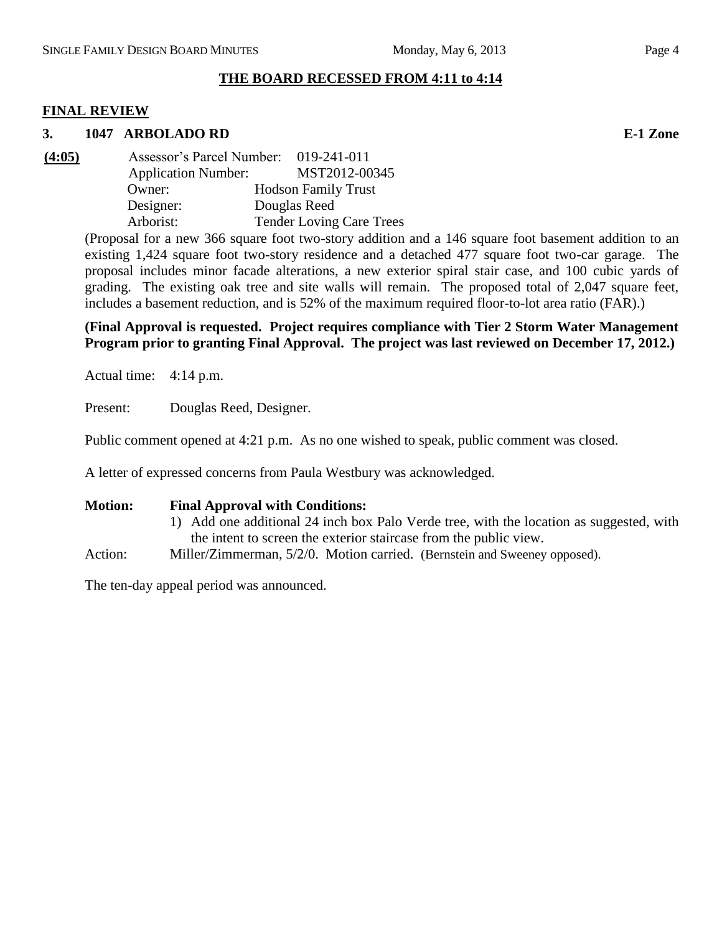# **THE BOARD RECESSED FROM 4:11 to 4:14**

## **FINAL REVIEW**

### **3. 1047 ARBOLADO RD E-1 Zone**

**(4:05)** Assessor's Parcel Number: 019-241-011 Application Number: MST2012-00345 Owner: Hodson Family Trust Designer: Douglas Reed Arborist: Tender Loving Care Trees

> (Proposal for a new 366 square foot two-story addition and a 146 square foot basement addition to an existing 1,424 square foot two-story residence and a detached 477 square foot two-car garage. The proposal includes minor facade alterations, a new exterior spiral stair case, and 100 cubic yards of grading. The existing oak tree and site walls will remain. The proposed total of 2,047 square feet, includes a basement reduction, and is 52% of the maximum required floor-to-lot area ratio (FAR).)

## **(Final Approval is requested. Project requires compliance with Tier 2 Storm Water Management Program prior to granting Final Approval. The project was last reviewed on December 17, 2012.)**

Actual time: 4:14 p.m.

Present: Douglas Reed, Designer.

Public comment opened at 4:21 p.m. As no one wished to speak, public comment was closed.

A letter of expressed concerns from Paula Westbury was acknowledged.

**Motion: Final Approval with Conditions:**

- 1) Add one additional 24 inch box Palo Verde tree, with the location as suggested, with the intent to screen the exterior staircase from the public view.
- Action: Miller/Zimmerman, 5/2/0. Motion carried. (Bernstein and Sweeney opposed).

The ten-day appeal period was announced.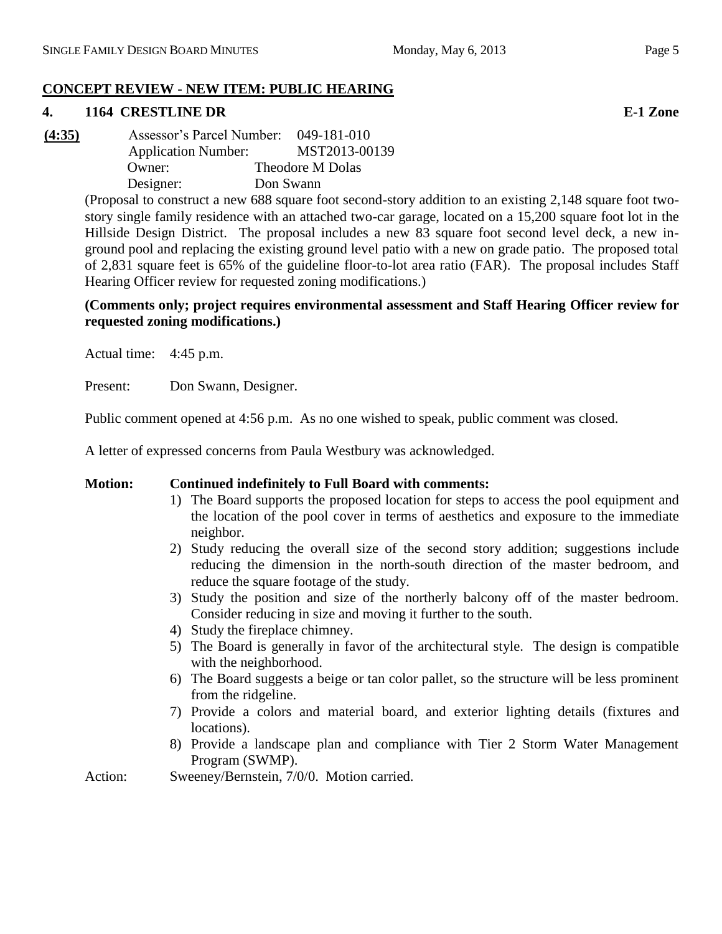# **CONCEPT REVIEW - NEW ITEM: PUBLIC HEARING**

# **4. 1164 CRESTLINE DR E-1 Zone**

**(4:35)** Assessor's Parcel Number: 049-181-010 Application Number: MST2013-00139 Owner: Theodore M Dolas Designer: Don Swann

> (Proposal to construct a new 688 square foot second-story addition to an existing 2,148 square foot twostory single family residence with an attached two-car garage, located on a 15,200 square foot lot in the Hillside Design District. The proposal includes a new 83 square foot second level deck, a new inground pool and replacing the existing ground level patio with a new on grade patio. The proposed total of 2,831 square feet is 65% of the guideline floor-to-lot area ratio (FAR). The proposal includes Staff Hearing Officer review for requested zoning modifications.)

# **(Comments only; project requires environmental assessment and Staff Hearing Officer review for requested zoning modifications.)**

Actual time: 4:45 p.m.

Present: Don Swann, Designer.

Public comment opened at 4:56 p.m. As no one wished to speak, public comment was closed.

A letter of expressed concerns from Paula Westbury was acknowledged.

# **Motion: Continued indefinitely to Full Board with comments:**

- 1) The Board supports the proposed location for steps to access the pool equipment and the location of the pool cover in terms of aesthetics and exposure to the immediate neighbor.
- 2) Study reducing the overall size of the second story addition; suggestions include reducing the dimension in the north-south direction of the master bedroom, and reduce the square footage of the study.
- 3) Study the position and size of the northerly balcony off of the master bedroom. Consider reducing in size and moving it further to the south.
- 4) Study the fireplace chimney.
- 5) The Board is generally in favor of the architectural style. The design is compatible with the neighborhood.
- 6) The Board suggests a beige or tan color pallet, so the structure will be less prominent from the ridgeline.
- 7) Provide a colors and material board, and exterior lighting details (fixtures and locations).
- 8) Provide a landscape plan and compliance with Tier 2 Storm Water Management Program (SWMP).
- Action: Sweeney/Bernstein, 7/0/0. Motion carried.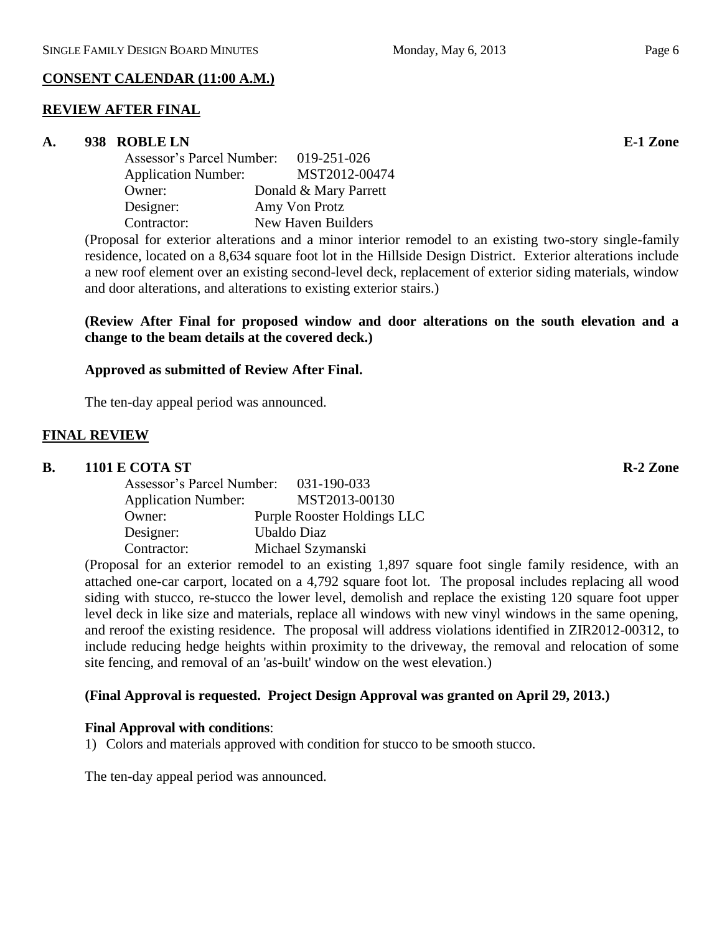# **CONSENT CALENDAR (11:00 A.M.)**

# **REVIEW AFTER FINAL**

# **A. 938 ROBLE LN E-1 Zone**

| Assessor's Parcel Number:  | 019-251-026           |
|----------------------------|-----------------------|
| <b>Application Number:</b> | MST2012-00474         |
| Owner:                     | Donald & Mary Parrett |
| Designer:                  | Amy Von Protz         |
| Contractor:                | New Haven Builders    |

(Proposal for exterior alterations and a minor interior remodel to an existing two-story single-family residence, located on a 8,634 square foot lot in the Hillside Design District. Exterior alterations include a new roof element over an existing second-level deck, replacement of exterior siding materials, window and door alterations, and alterations to existing exterior stairs.)

# **(Review After Final for proposed window and door alterations on the south elevation and a change to the beam details at the covered deck.)**

# **Approved as submitted of Review After Final.**

The ten-day appeal period was announced.

# **FINAL REVIEW**

# **B. 1101 E COTA ST R-2 Zone**

| Assessor's Parcel Number:  | 031-190-033                 |
|----------------------------|-----------------------------|
| <b>Application Number:</b> | MST2013-00130               |
| Owner:                     | Purple Rooster Holdings LLC |
| Designer:                  | Ubaldo Diaz                 |
| Contractor:                | Michael Szymanski           |

(Proposal for an exterior remodel to an existing 1,897 square foot single family residence, with an attached one-car carport, located on a 4,792 square foot lot. The proposal includes replacing all wood siding with stucco, re-stucco the lower level, demolish and replace the existing 120 square foot upper level deck in like size and materials, replace all windows with new vinyl windows in the same opening, and reroof the existing residence. The proposal will address violations identified in ZIR2012-00312, to include reducing hedge heights within proximity to the driveway, the removal and relocation of some site fencing, and removal of an 'as-built' window on the west elevation.)

# **(Final Approval is requested. Project Design Approval was granted on April 29, 2013.)**

# **Final Approval with conditions**:

1) Colors and materials approved with condition for stucco to be smooth stucco.

The ten-day appeal period was announced.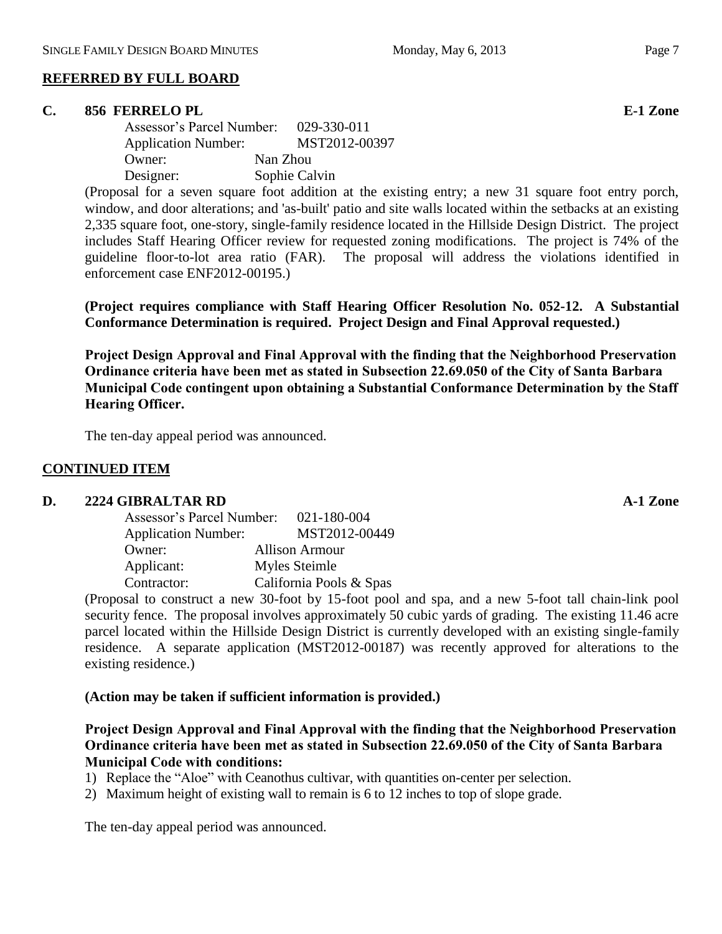#### **C. 856 FERRELO PL E-1 Zone**

| Assessor's Parcel Number:  |          | 029-330-011   |
|----------------------------|----------|---------------|
| <b>Application Number:</b> |          | MST2012-00397 |
| Owner:                     | Nan Zhou |               |
| Designer:                  |          | Sophie Calvin |

(Proposal for a seven square foot addition at the existing entry; a new 31 square foot entry porch, window, and door alterations; and 'as-built' patio and site walls located within the setbacks at an existing 2,335 square foot, one-story, single-family residence located in the Hillside Design District. The project includes Staff Hearing Officer review for requested zoning modifications. The project is 74% of the guideline floor-to-lot area ratio (FAR). The proposal will address the violations identified in enforcement case ENF2012-00195.)

**(Project requires compliance with Staff Hearing Officer Resolution No. 052-12. A Substantial Conformance Determination is required. Project Design and Final Approval requested.)**

**Project Design Approval and Final Approval with the finding that the Neighborhood Preservation Ordinance criteria have been met as stated in Subsection 22.69.050 of the City of Santa Barbara Municipal Code contingent upon obtaining a Substantial Conformance Determination by the Staff Hearing Officer.**

The ten-day appeal period was announced.

## **CONTINUED ITEM**

#### **D. 2224 GIBRALTAR RD A-1 Zone**

| Assessor's Parcel Number:  | 021-180-004             |
|----------------------------|-------------------------|
| <b>Application Number:</b> | MST2012-00449           |
| Owner:                     | <b>Allison Armour</b>   |
| Applicant:                 | Myles Steimle           |
| Contractor:                | California Pools & Spas |

(Proposal to construct a new 30-foot by 15-foot pool and spa, and a new 5-foot tall chain-link pool security fence. The proposal involves approximately 50 cubic yards of grading. The existing 11.46 acre parcel located within the Hillside Design District is currently developed with an existing single-family residence. A separate application (MST2012-00187) was recently approved for alterations to the existing residence.)

### **(Action may be taken if sufficient information is provided.)**

## **Project Design Approval and Final Approval with the finding that the Neighborhood Preservation Ordinance criteria have been met as stated in Subsection 22.69.050 of the City of Santa Barbara Municipal Code with conditions:**

- 1) Replace the "Aloe" with Ceanothus cultivar, with quantities on-center per selection.
- 2) Maximum height of existing wall to remain is 6 to 12 inches to top of slope grade.

The ten-day appeal period was announced.